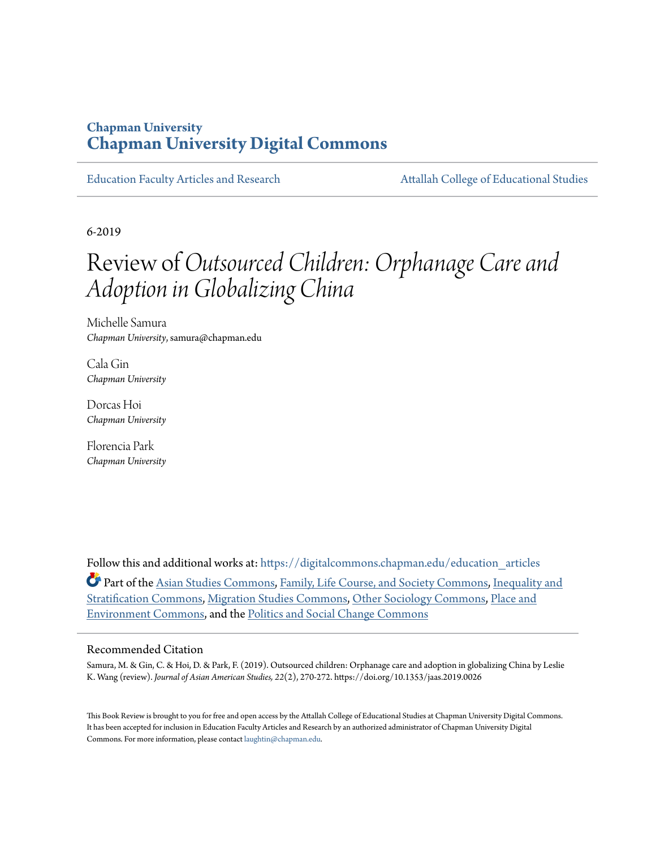### **Chapman University [Chapman University Digital Commons](https://digitalcommons.chapman.edu?utm_source=digitalcommons.chapman.edu%2Feducation_articles%2F237&utm_medium=PDF&utm_campaign=PDFCoverPages)**

[Education Faculty Articles and Research](https://digitalcommons.chapman.edu/education_articles?utm_source=digitalcommons.chapman.edu%2Feducation_articles%2F237&utm_medium=PDF&utm_campaign=PDFCoverPages) [Attallah College of Educational Studies](https://digitalcommons.chapman.edu/ces?utm_source=digitalcommons.chapman.edu%2Feducation_articles%2F237&utm_medium=PDF&utm_campaign=PDFCoverPages)

6-2019

# Review of*Outsourced Children: Orphanage Care and Adoption in Globalizing China*

Michelle Samura *Chapman University*, samura@chapman.edu

Cala Gin *Chapman University*

Dorcas Hoi *Chapman University*

Florencia Park *Chapman University*

Follow this and additional works at: [https://digitalcommons.chapman.edu/education\\_articles](https://digitalcommons.chapman.edu/education_articles?utm_source=digitalcommons.chapman.edu%2Feducation_articles%2F237&utm_medium=PDF&utm_campaign=PDFCoverPages) Part of the [Asian Studies Commons,](http://network.bepress.com/hgg/discipline/361?utm_source=digitalcommons.chapman.edu%2Feducation_articles%2F237&utm_medium=PDF&utm_campaign=PDFCoverPages) [Family, Life Course, and Society Commons,](http://network.bepress.com/hgg/discipline/419?utm_source=digitalcommons.chapman.edu%2Feducation_articles%2F237&utm_medium=PDF&utm_campaign=PDFCoverPages) [Inequality and](http://network.bepress.com/hgg/discipline/421?utm_source=digitalcommons.chapman.edu%2Feducation_articles%2F237&utm_medium=PDF&utm_campaign=PDFCoverPages) [Stratification Commons](http://network.bepress.com/hgg/discipline/421?utm_source=digitalcommons.chapman.edu%2Feducation_articles%2F237&utm_medium=PDF&utm_campaign=PDFCoverPages), [Migration Studies Commons](http://network.bepress.com/hgg/discipline/1394?utm_source=digitalcommons.chapman.edu%2Feducation_articles%2F237&utm_medium=PDF&utm_campaign=PDFCoverPages), [Other Sociology Commons](http://network.bepress.com/hgg/discipline/434?utm_source=digitalcommons.chapman.edu%2Feducation_articles%2F237&utm_medium=PDF&utm_campaign=PDFCoverPages), [Place and](http://network.bepress.com/hgg/discipline/424?utm_source=digitalcommons.chapman.edu%2Feducation_articles%2F237&utm_medium=PDF&utm_campaign=PDFCoverPages) [Environment Commons,](http://network.bepress.com/hgg/discipline/424?utm_source=digitalcommons.chapman.edu%2Feducation_articles%2F237&utm_medium=PDF&utm_campaign=PDFCoverPages) and the [Politics and Social Change Commons](http://network.bepress.com/hgg/discipline/425?utm_source=digitalcommons.chapman.edu%2Feducation_articles%2F237&utm_medium=PDF&utm_campaign=PDFCoverPages)

#### Recommended Citation

Samura, M. & Gin, C. & Hoi, D. & Park, F. (2019). Outsourced children: Orphanage care and adoption in globalizing China by Leslie K. Wang (review). *Journal of Asian American Studies, 22*(2), 270-272. https://doi.org/10.1353/jaas.2019.0026

This Book Review is brought to you for free and open access by the Attallah College of Educational Studies at Chapman University Digital Commons. It has been accepted for inclusion in Education Faculty Articles and Research by an authorized administrator of Chapman University Digital Commons. For more information, please contact [laughtin@chapman.edu](mailto:laughtin@chapman.edu).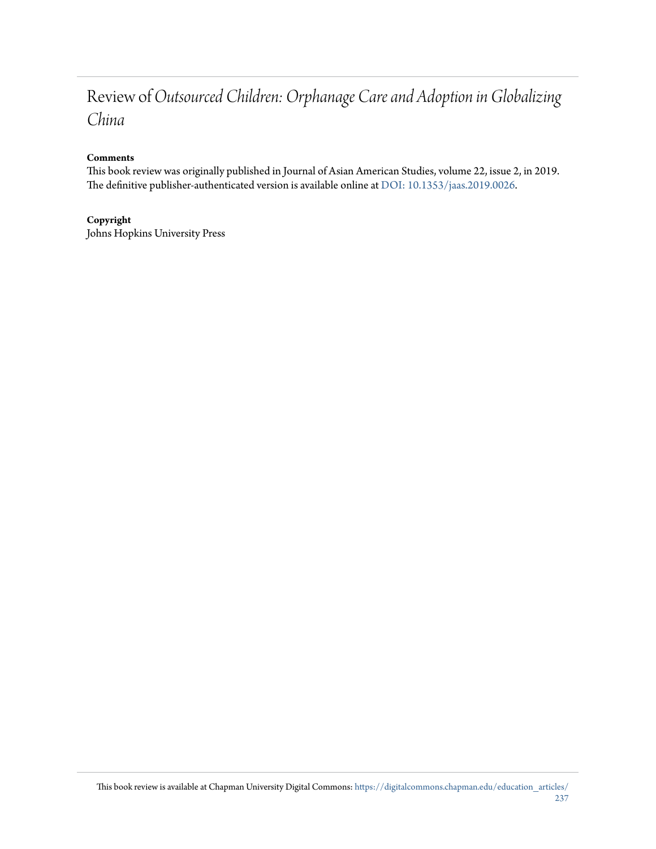## Review of*Outsourced Children: Orphanage Care and Adoption in Globalizing China*

### **Comments**

This book review was originally published in Journal of Asian American Studies, volume 22, issue 2, in 2019. The definitive publisher-authenticated version is available online at [DOI: 10.1353/jaas.2019.0026.](https://doi.org/10.1353/jaas.2019.0026)

### **Copyright**

Johns Hopkins University Press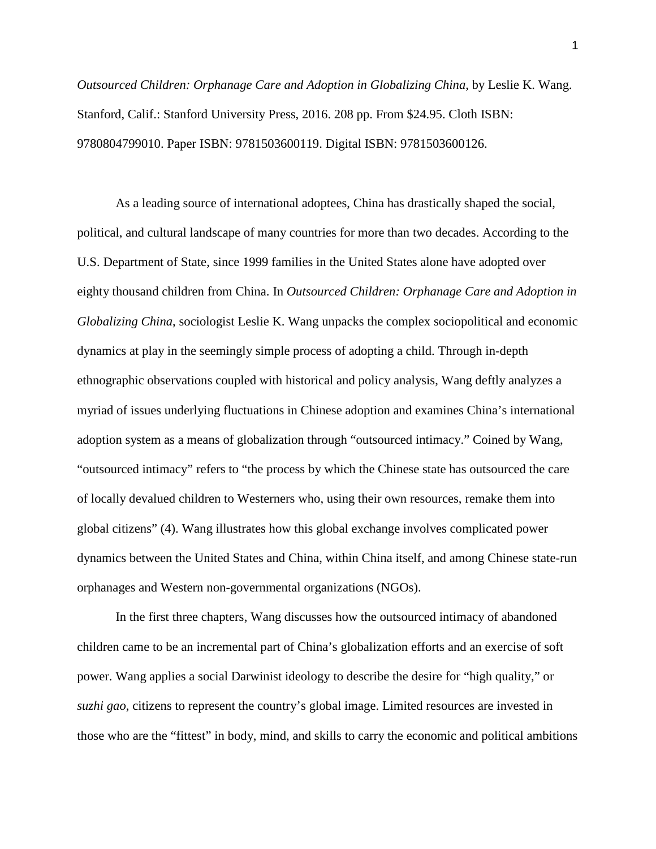*Outsourced Children: Orphanage Care and Adoption in Globalizing China*, by Leslie K. Wang. Stanford, Calif.: Stanford University Press, 2016. 208 pp. From \$24.95. Cloth ISBN: 9780804799010. Paper ISBN: 9781503600119. Digital ISBN: 9781503600126.

As a leading source of international adoptees, China has drastically shaped the social, political, and cultural landscape of many countries for more than two decades. According to the U.S. Department of State, since 1999 families in the United States alone have adopted over eighty thousand children from China. In *Outsourced Children: Orphanage Care and Adoption in Globalizing China*, sociologist Leslie K. Wang unpacks the complex sociopolitical and economic dynamics at play in the seemingly simple process of adopting a child. Through in-depth ethnographic observations coupled with historical and policy analysis, Wang deftly analyzes a myriad of issues underlying fluctuations in Chinese adoption and examines China's international adoption system as a means of globalization through "outsourced intimacy." Coined by Wang, "outsourced intimacy" refers to "the process by which the Chinese state has outsourced the care of locally devalued children to Westerners who, using their own resources, remake them into global citizens" (4). Wang illustrates how this global exchange involves complicated power dynamics between the United States and China, within China itself, and among Chinese state-run orphanages and Western non-governmental organizations (NGOs).

In the first three chapters, Wang discusses how the outsourced intimacy of abandoned children came to be an incremental part of China's globalization efforts and an exercise of soft power. Wang applies a social Darwinist ideology to describe the desire for "high quality," or *suzhi gao*, citizens to represent the country's global image. Limited resources are invested in those who are the "fittest" in body, mind, and skills to carry the economic and political ambitions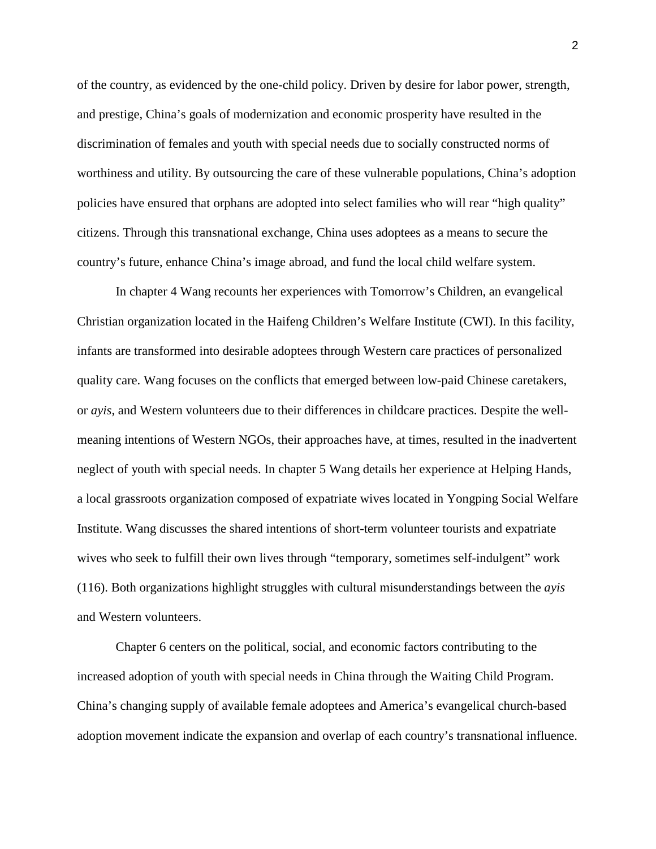of the country, as evidenced by the one-child policy. Driven by desire for labor power, strength, and prestige, China's goals of modernization and economic prosperity have resulted in the discrimination of females and youth with special needs due to socially constructed norms of worthiness and utility. By outsourcing the care of these vulnerable populations, China's adoption policies have ensured that orphans are adopted into select families who will rear "high quality" citizens. Through this transnational exchange, China uses adoptees as a means to secure the country's future, enhance China's image abroad, and fund the local child welfare system.

In chapter 4 Wang recounts her experiences with Tomorrow's Children, an evangelical Christian organization located in the Haifeng Children's Welfare Institute (CWI). In this facility, infants are transformed into desirable adoptees through Western care practices of personalized quality care. Wang focuses on the conflicts that emerged between low-paid Chinese caretakers, or *ayis*, and Western volunteers due to their differences in childcare practices. Despite the wellmeaning intentions of Western NGOs, their approaches have, at times, resulted in the inadvertent neglect of youth with special needs. In chapter 5 Wang details her experience at Helping Hands, a local grassroots organization composed of expatriate wives located in Yongping Social Welfare Institute. Wang discusses the shared intentions of short-term volunteer tourists and expatriate wives who seek to fulfill their own lives through "temporary, sometimes self-indulgent" work (116). Both organizations highlight struggles with cultural misunderstandings between the *ayis*  and Western volunteers.

Chapter 6 centers on the political, social, and economic factors contributing to the increased adoption of youth with special needs in China through the Waiting Child Program. China's changing supply of available female adoptees and America's evangelical church-based adoption movement indicate the expansion and overlap of each country's transnational influence.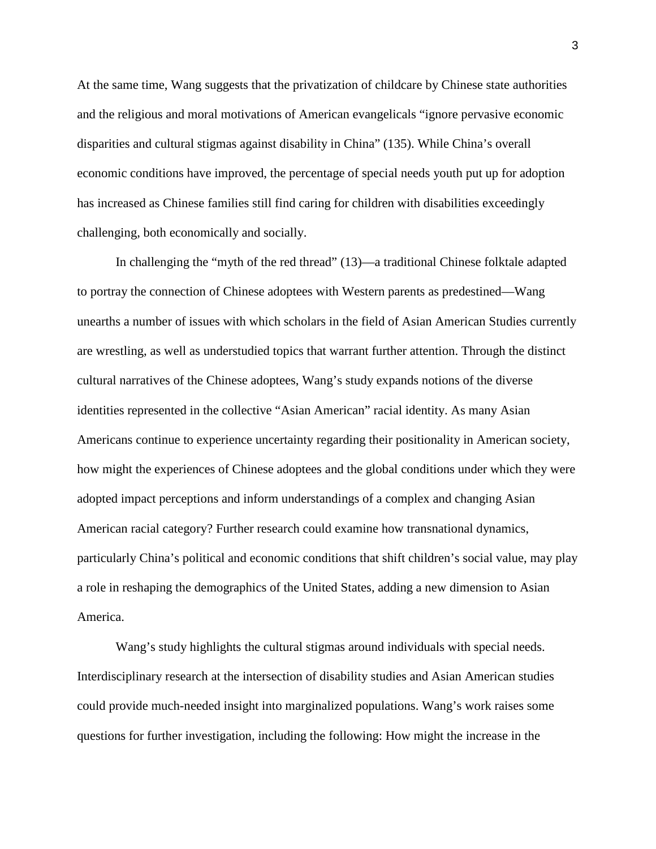At the same time, Wang suggests that the privatization of childcare by Chinese state authorities and the religious and moral motivations of American evangelicals "ignore pervasive economic disparities and cultural stigmas against disability in China" (135). While China's overall economic conditions have improved, the percentage of special needs youth put up for adoption has increased as Chinese families still find caring for children with disabilities exceedingly challenging, both economically and socially.

In challenging the "myth of the red thread" (13)—a traditional Chinese folktale adapted to portray the connection of Chinese adoptees with Western parents as predestined—Wang unearths a number of issues with which scholars in the field of Asian American Studies currently are wrestling, as well as understudied topics that warrant further attention. Through the distinct cultural narratives of the Chinese adoptees, Wang's study expands notions of the diverse identities represented in the collective "Asian American" racial identity. As many Asian Americans continue to experience uncertainty regarding their positionality in American society, how might the experiences of Chinese adoptees and the global conditions under which they were adopted impact perceptions and inform understandings of a complex and changing Asian American racial category? Further research could examine how transnational dynamics, particularly China's political and economic conditions that shift children's social value, may play a role in reshaping the demographics of the United States, adding a new dimension to Asian America.

Wang's study highlights the cultural stigmas around individuals with special needs. Interdisciplinary research at the intersection of disability studies and Asian American studies could provide much-needed insight into marginalized populations. Wang's work raises some questions for further investigation, including the following: How might the increase in the